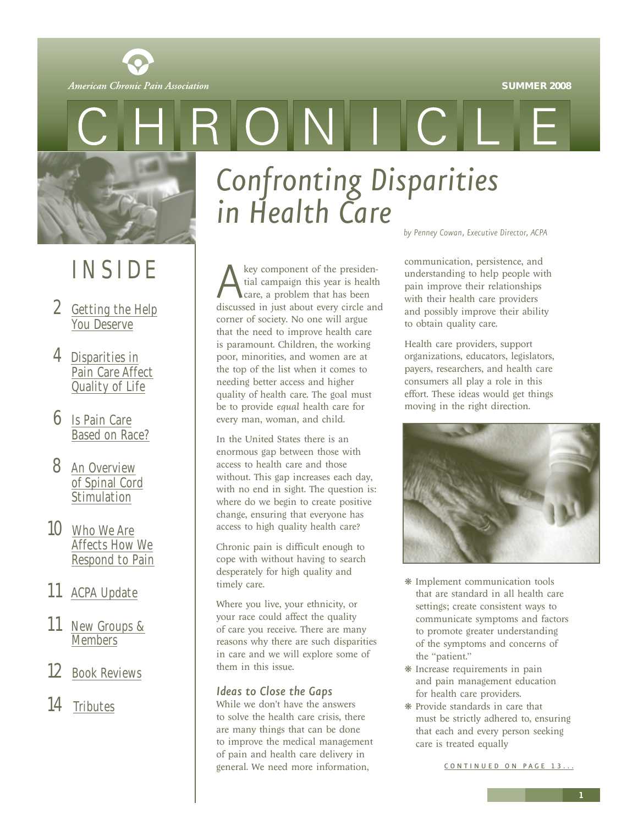**SUMMER 2008**

<span id="page-0-1"></span><span id="page-0-0"></span>

# INSIDE

- 2 [Getting the Help](#page-1-0) You Deserve
- 4 Disparities in [Pain Care Affect](#page-3-0) Quality of Life
- 6 Is Pain Care [Based on Race?](#page-5-0)
- 8 An Overview [of Spinal Cord](#page-7-0) Stimulation
- 10 Who We Are Affects How We [Respond to Pain](#page-9-0)
- 11 [ACPA Update](#page-10-0)
- 11 [New Groups &](#page-10-0) **Members**
- 12 [Book Reviews](#page-11-0)
- 14 [Tributes](#page-13-0)

*Confronting Disparities in Health Care*

CINII CI

A key component of the presidential campaign this year is health care, a problem that has been discussed in just about every circle and tial campaign this year is health care, a problem that has been corner of society. No one will argue that the need to improve health care is paramount. Children, the working poor, minorities, and women are at the top of the list when it comes to needing better access and higher quality of health care. The goal must be to provide *equal* health care for every man, woman, and child.

In the United States there is an enormous gap between those with access to health care and those without. This gap increases each day, with no end in sight. The question is: where do we begin to create positive change, ensuring that everyone has access to high quality health care?

Chronic pain is difficult enough to cope with without having to search desperately for high quality and timely care.

Where you live, your ethnicity, or your race could affect the quality of care you receive. There are many reasons why there are such disparities in care and we will explore some of them in this issue.

#### *Ideas to Close the Gaps*

While we don't have the answers to solve the health care crisis, there are many things that can be done to improve the medical management of pain and health care delivery in general. We need more information,

*by Penney Cowan, Executive Director, ACPA*

communication, persistence, and understanding to help people with pain improve their relationships with their health care providers and possibly improve their ability to obtain quality care.

Health care providers, support organizations, educators, legislators, payers, researchers, and health care consumers all play a role in this effort. These ideas would get things moving in the right direction.



- ❋ Implement communication tools that are standard in all health care settings; create consistent ways to communicate symptoms and factors to promote greater understanding of the symptoms and concerns of the "patient."
- ❋ Increase requirements in pain and pain management education for health care providers.
- ❋ Provide standards in care that must be strictly adhered to, ensuring that each and every person seeking care is treated equally

CONTINUED ON PAGE 13...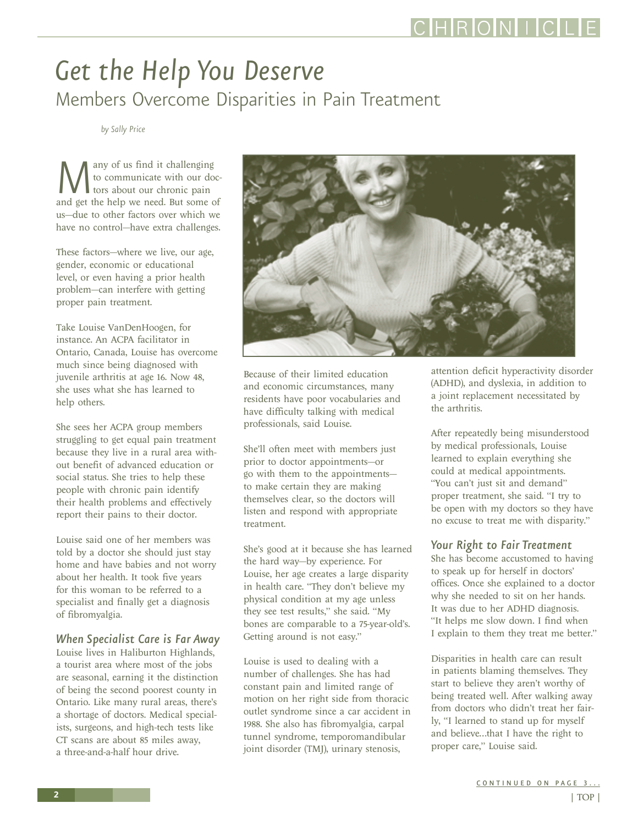### <span id="page-1-0"></span>*Get the Help You Deserve* Members Overcome Disparities in Pain Treatment

*by Sally Price*

**M**<br>and get the help we need. But some of<br>and get the help we need. But some of to communicate with our doctors about our chronic pain us—due to other factors over which we have no control—have extra challenges.

These factors—where we live, our age, gender, economic or educational level, or even having a prior health problem—can interfere with getting proper pain treatment.

Take Louise VanDenHoogen, for instance. An ACPA facilitator in Ontario, Canada, Louise has overcome much since being diagnosed with juvenile arthritis at age 16. Now 48, she uses what she has learned to help others.

She sees her ACPA group members struggling to get equal pain treatment because they live in a rural area without benefit of advanced education or social status. She tries to help these people with chronic pain identify their health problems and effectively report their pains to their doctor.

Louise said one of her members was told by a doctor she should just stay home and have babies and not worry about her health. It took five years for this woman to be referred to a specialist and finally get a diagnosis of fibromyalgia.

#### *When Specialist Care is Far Away*

Louise lives in Haliburton Highlands, a tourist area where most of the jobs are seasonal, earning it the distinction of being the second poorest county in Ontario. Like many rural areas, there's a shortage of doctors. Medical specialists, surgeons, and high-tech tests like CT scans are about 85 miles away, a three-and-a-half hour drive.



Because of their limited education and economic circumstances, many residents have poor vocabularies and have difficulty talking with medical professionals, said Louise.

She'll often meet with members just prior to doctor appointments—or go with them to the appointments to make certain they are making themselves clear, so the doctors will listen and respond with appropriate treatment.

She's good at it because she has learned the hard way—by experience. For Louise, her age creates a large disparity in health care. "They don't believe my physical condition at my age unless they see test results," she said. "My bones are comparable to a 75-year-old's. Getting around is not easy."

Louise is used to dealing with a number of challenges. She has had constant pain and limited range of motion on her right side from thoracic outlet syndrome since a car accident in 1988. She also has fibromyalgia, carpal tunnel syndrome, temporomandibular joint disorder (TMJ), urinary stenosis,

attention deficit hyperactivity disorder (ADHD), and dyslexia, in addition to a joint replacement necessitated by the arthritis.

After repeatedly being misunderstood by medical professionals, Louise learned to explain everything she could at medical appointments. "You can't just sit and demand" proper treatment, she said. "I try to be open with my doctors so they have no excuse to treat me with disparity."

#### *Your Right to Fair Treatment*

She has become accustomed to having to speak up for herself in doctors' offices. Once she explained to a doctor why she needed to sit on her hands. It was due to her ADHD diagnosis. "It helps me slow down. I find when I explain to them they treat me better."

Disparities in health care can result in patients blaming themselves. They start to believe they aren't worthy of being treated well. After walking away from doctors who didn't treat her fairly, "I learned to stand up for myself and believe…that I have the right to proper care," Louise said.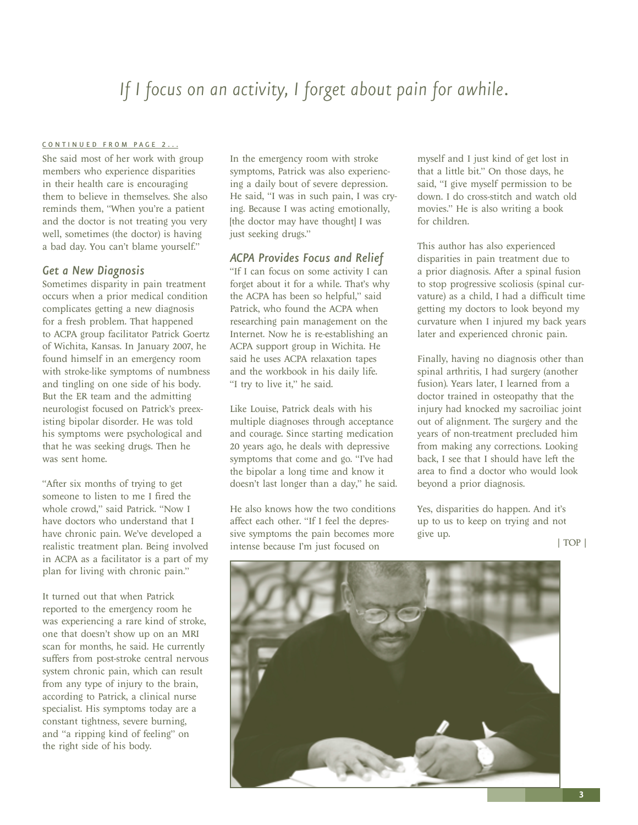### <span id="page-2-0"></span>*If I focus on an activity, I forget about pain for awhile.*

#### [CONTINUED FROM PAGE 2...](#page-1-0)

She said most of her work with group members who experience disparities in their health care is encouraging them to believe in themselves. She also reminds them, "When you're a patient and the doctor is not treating you very well, sometimes (the doctor) is having a bad day. You can't blame yourself."

#### *Get a New Diagnosis*

Sometimes disparity in pain treatment occurs when a prior medical condition complicates getting a new diagnosis for a fresh problem. That happened to ACPA group facilitator Patrick Goertz of Wichita, Kansas. In January 2007, he found himself in an emergency room with stroke-like symptoms of numbness and tingling on one side of his body. But the ER team and the admitting neurologist focused on Patrick's preexisting bipolar disorder. He was told his symptoms were psychological and that he was seeking drugs. Then he was sent home.

"After six months of trying to get someone to listen to me I fired the whole crowd," said Patrick. "Now I have doctors who understand that I have chronic pain. We've developed a realistic treatment plan. Being involved in ACPA as a facilitator is a part of my plan for living with chronic pain."

It turned out that when Patrick reported to the emergency room he was experiencing a rare kind of stroke, one that doesn't show up on an MRI scan for months, he said. He currently suffers from post-stroke central nervous system chronic pain, which can result from any type of injury to the brain, according to Patrick, a clinical nurse specialist. His symptoms today are a constant tightness, severe burning, and "a ripping kind of feeling" on the right side of his body.

In the emergency room with stroke symptoms, Patrick was also experiencing a daily bout of severe depression. He said, "I was in such pain, I was crying. Because I was acting emotionally, [the doctor may have thought] I was just seeking drugs."

#### *ACPA Provides Focus and Relief*

"If I can focus on some activity I can forget about it for a while. That's why the ACPA has been so helpful," said Patrick, who found the ACPA when researching pain management on the Internet. Now he is re-establishing an ACPA support group in Wichita. He said he uses ACPA relaxation tapes and the workbook in his daily life. "I try to live it," he said.

Like Louise, Patrick deals with his multiple diagnoses through acceptance and courage. Since starting medication 20 years ago, he deals with depressive symptoms that come and go. "I've had the bipolar a long time and know it doesn't last longer than a day," he said.

He also knows how the two conditions affect each other. "If I feel the depressive symptoms the pain becomes more intense because I'm just focused on

myself and I just kind of get lost in that a little bit." On those days, he said, "I give myself permission to be down. I do cross-stitch and watch old movies." He is also writing a book for children.

This author has also experienced disparities in pain treatment due to a prior diagnosis. After a spinal fusion to stop progressive scoliosis (spinal curvature) as a child, I had a difficult time getting my doctors to look beyond my curvature when I injured my back years later and experienced chronic pain.

Finally, having no diagnosis other than spinal arthritis, I had surgery (another fusion). Years later, I learned from a doctor trained in osteopathy that the injury had knocked my sacroiliac joint out of alignment. The surgery and the years of non-treatment precluded him from making any corrections. Looking back, I see that I should have left the area to find a doctor who would look beyond a prior diagnosis.

Yes, disparities do happen. And it's up to us to keep on trying and not give up.

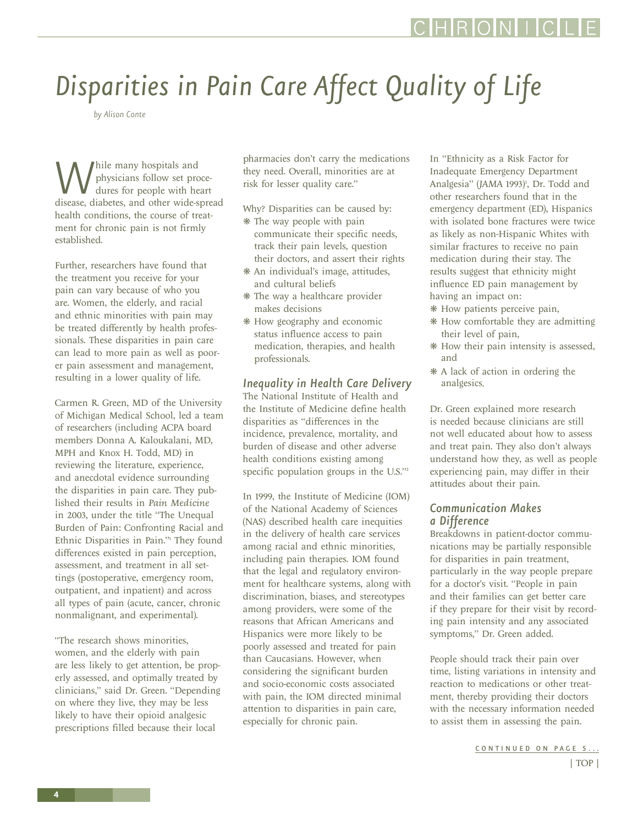# <span id="page-3-0"></span>*Disparities in Pain Care Affect Quality of Life*

*by Alison Conte*

While many hospitals and<br>disease, diabetes, and other wide-spread physicians follow set procedures for people with heart health conditions, the course of treatment for chronic pain is not firmly established.

Further, researchers have found that the treatment you receive for your pain can vary because of who you are. Women, the elderly, and racial and ethnic minorities with pain may be treated differently by health professionals. These disparities in pain care can lead to more pain as well as poorer pain assessment and management, resulting in a lower quality of life.

Carmen R. Green, MD of the University of Michigan Medical School, led a team of researchers (including ACPA board members Donna A. Kaloukalani, MD, MPH and Knox H. Todd, MD) in reviewing the literature, experience, and anecdotal evidence surrounding the disparities in pain care. They published their results in *Pain Medicine* in 2003, under the title "The Unequal Burden of Pain: Confronting Racial and Ethnic Disparities in Pain."1 They found differences existed in pain perception, assessment, and treatment in all settings (postoperative, emergency room, outpatient, and inpatient) and across all types of pain (acute, cancer, chronic nonmalignant, and experimental).

"The research shows minorities, women, and the elderly with pain are less likely to get attention, be properly assessed, and optimally treated by clinicians," said Dr. Green. "Depending on where they live, they may be less likely to have their opioid analgesic prescriptions filled because their local

pharmacies don't carry the medications they need. Overall, minorities are at risk for lesser quality care."

Why? Disparities can be caused by:

- ❋ The way people with pain communicate their specific needs, track their pain levels, question their doctors, and assert their rights
- ❋ An individual's image, attitudes, and cultural beliefs
- ❋ The way a healthcare provider makes decisions
- ❋ How geography and economic status influence access to pain medication, therapies, and health professionals.

#### *Inequality in Health Care Delivery*

The National Institute of Health and the Institute of Medicine define health disparities as "differences in the incidence, prevalence, mortality, and burden of disease and other adverse health conditions existing among specific population groups in the U.S."<sup>2</sup>

In 1999, the Institute of Medicine (IOM) of the National Academy of Sciences (NAS) described health care inequities in the delivery of health care services among racial and ethnic minorities, including pain therapies. IOM found that the legal and regulatory environment for healthcare systems, along with discrimination, biases, and stereotypes among providers, were some of the reasons that African Americans and Hispanics were more likely to be poorly assessed and treated for pain than Caucasians. However, when considering the significant burden and socio-economic costs associated with pain, the IOM directed minimal attention to disparities in pain care, especially for chronic pain.

In "Ethnicity as a Risk Factor for Inadequate Emergency Department Analgesia" (JAMA 1993)<sup>3</sup>, Dr. Todd and other researchers found that in the emergency department (ED), Hispanics with isolated bone fractures were twice as likely as non-Hispanic Whites with similar fractures to receive no pain medication during their stay. The results suggest that ethnicity might influence ED pain management by having an impact on:

- ❋ How patients perceive pain,
- ❋ How comfortable they are admitting their level of pain,
- ❋ How their pain intensity is assessed, and
- ❋ A lack of action in ordering the analgesics.

Dr. Green explained more research is needed because clinicians are still not well educated about how to assess and treat pain. They also don't always understand how they, as well as people experiencing pain, may differ in their attitudes about their pain.

#### *Communication Makes a Difference*

Breakdowns in patient-doctor communications may be partially responsible for disparities in pain treatment, particularly in the way people prepare for a doctor's visit. "People in pain and their families can get better care if they prepare for their visit by recording pain intensity and any associated symptoms," Dr. Green added.

People should track their pain over time, listing variations in intensity and reaction to medications or other treatment, thereby providing their doctors with the necessary information needed to assist them in assessing the pain.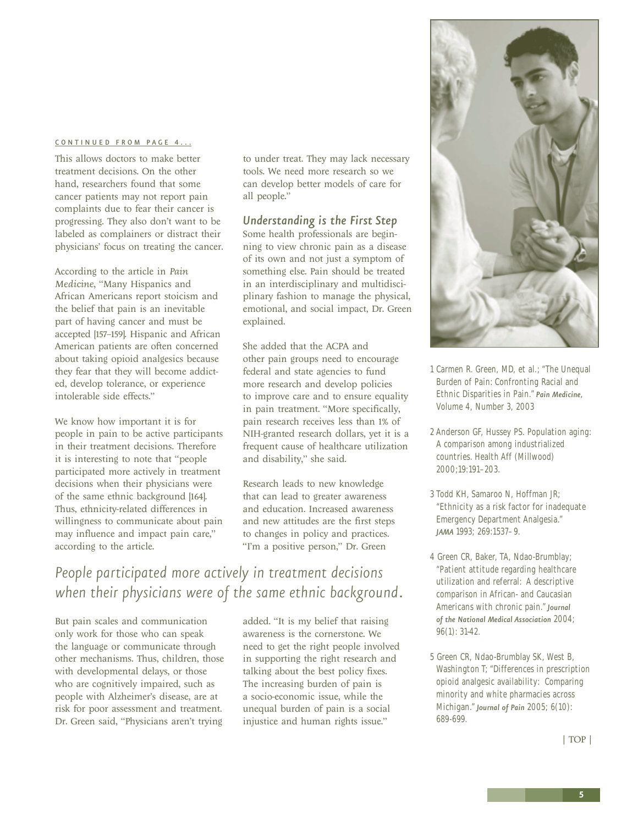#### <span id="page-4-0"></span>[CONTINUED FROM PAGE 4...](#page-3-0)

This allows doctors to make better treatment decisions. On the other hand, researchers found that some cancer patients may not report pain complaints due to fear their cancer is progressing. They also don't want to be labeled as complainers or distract their physicians' focus on treating the cancer.

According to the article in *Pain Medicine*, "Many Hispanics and African Americans report stoicism and the belief that pain is an inevitable part of having cancer and must be accepted [157–159]. Hispanic and African American patients are often concerned about taking opioid analgesics because they fear that they will become addicted, develop tolerance, or experience intolerable side effects."

We know how important it is for people in pain to be active participants in their treatment decisions. Therefore it is interesting to note that "people participated more actively in treatment decisions when their physicians were of the same ethnic background [164]. Thus, ethnicity-related differences in willingness to communicate about pain may influence and impact pain care," according to the article.

to under treat. They may lack necessary tools. We need more research so we can develop better models of care for all people."

#### *Understanding is the First Step*

Some health professionals are beginning to view chronic pain as a disease of its own and not just a symptom of something else. Pain should be treated in an interdisciplinary and multidisciplinary fashion to manage the physical, emotional, and social impact, Dr. Green explained.

She added that the ACPA and other pain groups need to encourage federal and state agencies to fund more research and develop policies to improve care and to ensure equality in pain treatment. "More specifically, pain research receives less than 1% of NIH-granted research dollars, yet it is a frequent cause of healthcare utilization and disability," she said.

Research leads to new knowledge that can lead to greater awareness and education. Increased awareness and new attitudes are the first steps to changes in policy and practices. "I'm a positive person," Dr. Green

### *People participated more actively in treatment decisions when their physicians were of the same ethnic background.*

But pain scales and communication only work for those who can speak the language or communicate through other mechanisms. Thus, children, those with developmental delays, or those who are cognitively impaired, such as people with Alzheimer's disease, are at risk for poor assessment and treatment. Dr. Green said, "Physicians aren't trying

added. "It is my belief that raising awareness is the cornerstone. We need to get the right people involved in supporting the right research and talking about the best policy fixes. The increasing burden of pain is a socio-economic issue, while the unequal burden of pain is a social injustice and human rights issue."



- 1 Carmen R. Green, MD, et al.; "The Unequal Burden of Pain: Confronting Racial and Ethnic Disparities in Pain." *Pain Medicine*, Volume 4, Number 3, 2003
- 2 Anderson GF, Hussey PS. Population aging: A comparison among industrialized countries. Health Aff (Millwood) 2000;19:191–203.
- 3 Todd KH, Samaroo N, Hoffman JR; "Ethnicity as a risk factor for inadequate Emergency Department Analgesia." *JAMA* 1993; 269:1537–9.
- 4 Green CR, Baker, TA, Ndao-Brumblay; "Patient attitude regarding healthcare utilization and referral: A descriptive comparison in African- and Caucasian Americans with chronic pain." *Journal of the National Medical Association* 2004; 96(1): 31-42.
- 5 Green CR, Ndao-Brumblay SK, West B, Washington T; "Differences in prescription opioid analgesic availability: Comparing minority and white pharmacies across Michigan." *Journal of Pain* 2005; 6(10): 689-699.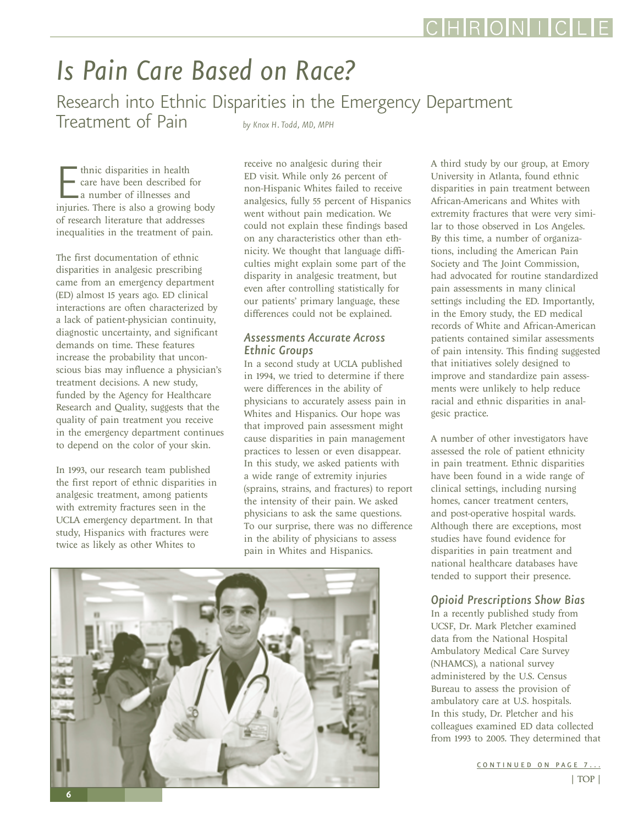# <span id="page-5-0"></span>*Is Pain Care Based on Race?*

Research into Ethnic Disparities in the Emergency Department Treatment of Pain

*by Knox H. Todd, MD, MPH*

**EXECUTE:** thnic disparities in health<br>care have been described for<br>a number of illnesses and<br>injuries. There is also a growing body thnic disparities in health care have been described for a number of illnesses and of research literature that addresses inequalities in the treatment of pain.

The first documentation of ethnic disparities in analgesic prescribing came from an emergency department (ED) almost 15 years ago. ED clinical interactions are often characterized by a lack of patient-physician continuity, diagnostic uncertainty, and significant demands on time. These features increase the probability that unconscious bias may influence a physician's treatment decisions. A new study, funded by the Agency for Healthcare Research and Quality, suggests that the quality of pain treatment you receive in the emergency department continues to depend on the color of your skin.

In 1993, our research team published the first report of ethnic disparities in analgesic treatment, among patients with extremity fractures seen in the UCLA emergency department. In that study, Hispanics with fractures were twice as likely as other Whites to

receive no analgesic during their ED visit. While only 26 percent of non-Hispanic Whites failed to receive analgesics, fully 55 percent of Hispanics went without pain medication. We could not explain these findings based on any characteristics other than ethnicity. We thought that language difficulties might explain some part of the disparity in analgesic treatment, but even after controlling statistically for our patients' primary language, these differences could not be explained.

#### *Assessments Accurate Across Ethnic Groups*

In a second study at UCLA published in 1994, we tried to determine if there were differences in the ability of physicians to accurately assess pain in Whites and Hispanics. Our hope was that improved pain assessment might cause disparities in pain management practices to lessen or even disappear. In this study, we asked patients with a wide range of extremity injuries (sprains, strains, and fractures) to report the intensity of their pain. We asked physicians to ask the same questions. To our surprise, there was no difference in the ability of physicians to assess pain in Whites and Hispanics.



A third study by our group, at Emory University in Atlanta, found ethnic disparities in pain treatment between African-Americans and Whites with extremity fractures that were very similar to those observed in Los Angeles. By this time, a number of organizations, including the American Pain Society and The Joint Commission, had advocated for routine standardized pain assessments in many clinical settings including the ED. Importantly, in the Emory study, the ED medical records of White and African-American patients contained similar assessments of pain intensity. This finding suggested that initiatives solely designed to improve and standardize pain assessments were unlikely to help reduce racial and ethnic disparities in analgesic practice.

A number of other investigators have assessed the role of patient ethnicity in pain treatment. Ethnic disparities have been found in a wide range of clinical settings, including nursing homes, cancer treatment centers, and post-operative hospital wards. Although there are exceptions, most studies have found evidence for disparities in pain treatment and national healthcare databases have tended to support their presence.

#### *Opioid Prescriptions Show Bias*

In a recently published study from UCSF, Dr. Mark Pletcher examined data from the National Hospital Ambulatory Medical Care Survey (NHAMCS), a national survey administered by the U.S. Census Bureau to assess the provision of ambulatory care at U.S. hospitals. In this study, Dr. Pletcher and his colleagues examined ED data collected from 1993 to 2005. They determined that

[CONTINUED ON PAGE 7...](#page-6-0)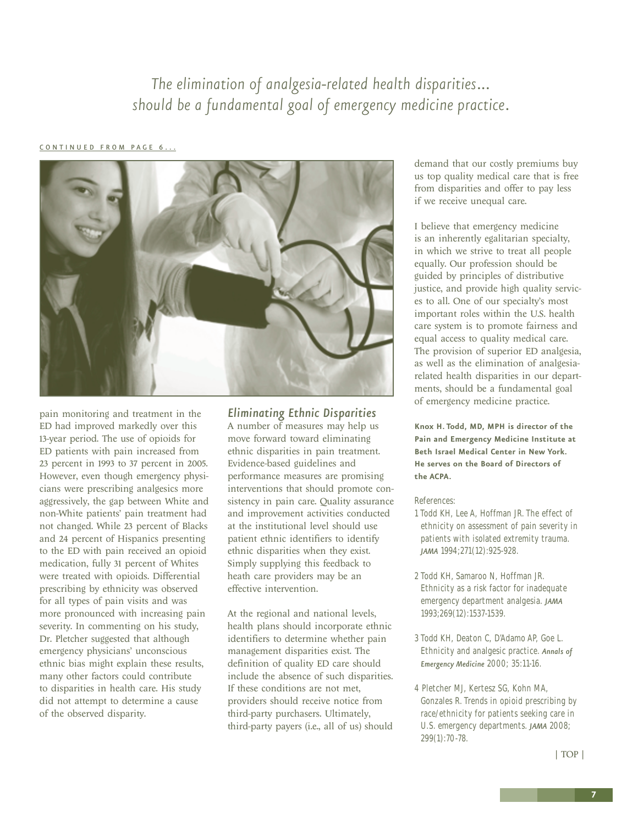*The elimination of analgesia-related health disparities… should be a fundamental goal of emergency medicine practice.*

#### <span id="page-6-0"></span>[CONTINUED FROM PAGE 6...](#page-5-0)



pain monitoring and treatment in the ED had improved markedly over this 13-year period. The use of opioids for ED patients with pain increased from 23 percent in 1993 to 37 percent in 2005. However, even though emergency physicians were prescribing analgesics more aggressively, the gap between White and non-White patients' pain treatment had not changed. While 23 percent of Blacks and 24 percent of Hispanics presenting to the ED with pain received an opioid medication, fully 31 percent of Whites were treated with opioids. Differential prescribing by ethnicity was observed for all types of pain visits and was more pronounced with increasing pain severity. In commenting on his study, Dr. Pletcher suggested that although emergency physicians' unconscious ethnic bias might explain these results, many other factors could contribute to disparities in health care. His study did not attempt to determine a cause of the observed disparity.

*Eliminating Ethnic Disparities* A number of measures may help us move forward toward eliminating ethnic disparities in pain treatment. Evidence-based guidelines and performance measures are promising interventions that should promote consistency in pain care. Quality assurance and improvement activities conducted at the institutional level should use patient ethnic identifiers to identify ethnic disparities when they exist. Simply supplying this feedback to heath care providers may be an effective intervention.

At the regional and national levels, health plans should incorporate ethnic identifiers to determine whether pain management disparities exist. The definition of quality ED care should include the absence of such disparities. If these conditions are not met, providers should receive notice from third-party purchasers. Ultimately, third-party payers (i.e., all of us) should

demand that our costly premiums buy us top quality medical care that is free from disparities and offer to pay less if we receive unequal care.

I believe that emergency medicine is an inherently egalitarian specialty, in which we strive to treat all people equally. Our profession should be guided by principles of distributive justice, and provide high quality services to all. One of our specialty's most important roles within the U.S. health care system is to promote fairness and equal access to quality medical care. The provision of superior ED analgesia, as well as the elimination of analgesiarelated health disparities in our departments, should be a fundamental goal of emergency medicine practice.

**Knox H. Todd, MD, MPH is director of the Pain and Emergency Medicine Institute at Beth Israel Medical Center in New York. He serves on the Board of Directors of the ACPA.**

References:

- 1 Todd KH, Lee A, Hoffman JR. The effect of ethnicity on assessment of pain severity in patients with isolated extremity trauma. *JAMA* 1994;271(12):925-928.
- 2 Todd KH, Samaroo N, Hoffman JR. Ethnicity as a risk factor for inadequate emergency department analgesia. *JAMA* 1993;269(12):1537-1539.
- 3 Todd KH, Deaton C, D'Adamo AP, Goe L. Ethnicity and analgesic practice. *Annals of Emergency Medicine* 2000; 35:11-16.
- 4 Pletcher MJ, Kertesz SG, Kohn MA, Gonzales R. Trends in opioid prescribing by race/ethnicity for patients seeking care in U.S. emergency departments. *JAMA* 2008; 299(1):70-78.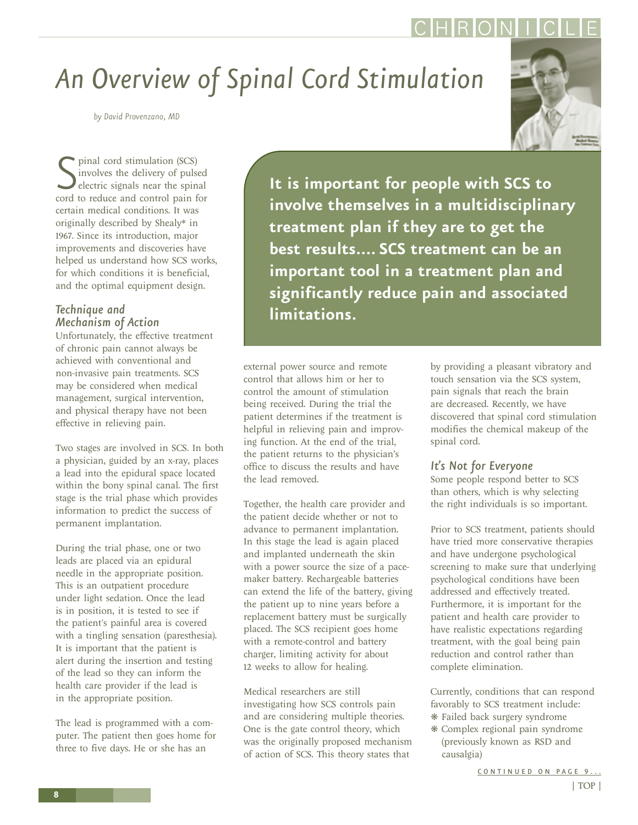# <span id="page-7-0"></span>*An Overview of Spinal Cord Stimulation*

*by David Provenzano, MD*

S pinal cord stimulation (SCS)<br>
sinvolves the delivery of pulsed<br>
cord to reduce and control pain for pinal cord stimulation (SCS) involves the delivery of pulsed electric signals near the spinal certain medical conditions. It was originally described by Shealy\* in 1967. Since its introduction, major improvements and discoveries have helped us understand how SCS works, for which conditions it is beneficial, and the optimal equipment design.

#### *Technique and Mechanism of Action*

Unfortunately, the effective treatment of chronic pain cannot always be achieved with conventional and non-invasive pain treatments. SCS may be considered when medical management, surgical intervention, and physical therapy have not been effective in relieving pain.

Two stages are involved in SCS. In both a physician, guided by an x-ray, places a lead into the epidural space located within the bony spinal canal. The first stage is the trial phase which provides information to predict the success of permanent implantation.

During the trial phase, one or two leads are placed via an epidural needle in the appropriate position. This is an outpatient procedure under light sedation. Once the lead is in position, it is tested to see if the patient's painful area is covered with a tingling sensation (paresthesia). It is important that the patient is alert during the insertion and testing of the lead so they can inform the health care provider if the lead is in the appropriate position.

The lead is programmed with a computer. The patient then goes home for three to five days. He or she has an

**It is important for people with SCS to involve themselves in a multidisciplinary treatment plan if they are to get the best results.... SCS treatment can be an important tool in a treatment plan and significantly reduce pain and associated limitations.**

external power source and remote control that allows him or her to control the amount of stimulation being received. During the trial the patient determines if the treatment is helpful in relieving pain and improving function. At the end of the trial, the patient returns to the physician's office to discuss the results and have the lead removed.

Together, the health care provider and the patient decide whether or not to advance to permanent implantation. In this stage the lead is again placed and implanted underneath the skin with a power source the size of a pacemaker battery. Rechargeable batteries can extend the life of the battery, giving the patient up to nine years before a replacement battery must be surgically placed. The SCS recipient goes home with a remote-control and battery charger, limiting activity for about 12 weeks to allow for healing.

Medical researchers are still investigating how SCS controls pain and are considering multiple theories. One is the gate control theory, which was the originally proposed mechanism of action of SCS. This theory states that

by providing a pleasant vibratory and touch sensation via the SCS system, pain signals that reach the brain are decreased. Recently, we have discovered that spinal cord stimulation modifies the chemical makeup of the spinal cord.

#### *It's Not for Everyone*

Some people respond better to SCS than others, which is why selecting the right individuals is so important.

Prior to SCS treatment, patients should have tried more conservative therapies and have undergone psychological screening to make sure that underlying psychological conditions have been addressed and effectively treated. Furthermore, it is important for the patient and health care provider to have realistic expectations regarding treatment, with the goal being pain reduction and control rather than complete elimination.

Currently, conditions that can respond favorably to SCS treatment include: ❋ Failed back surgery syndrome

❋ Complex regional pain syndrome (previously known as RSD and causalgia)

[CONTINUED ON PAGE 9...](#page-8-0)

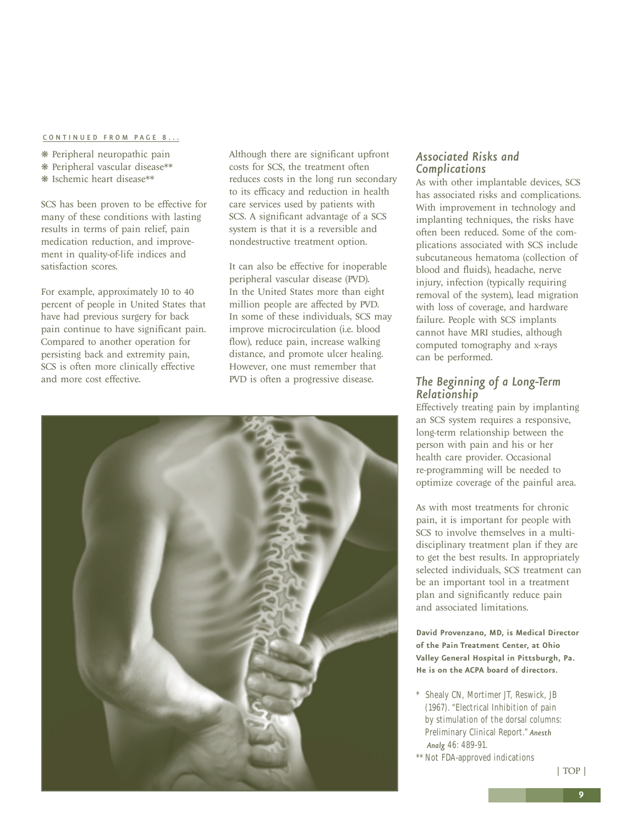#### <span id="page-8-0"></span>[CONTINUED FROM PAGE 8...](#page-7-0)

- ❋ Peripheral neuropathic pain
- ❋ Peripheral vascular disease\*\*
- ❋ Ischemic heart disease\*\*

SCS has been proven to be effective for many of these conditions with lasting results in terms of pain relief, pain medication reduction, and improvement in quality-of-life indices and satisfaction scores.

For example, approximately 10 to 40 percent of people in United States that have had previous surgery for back pain continue to have significant pain. Compared to another operation for persisting back and extremity pain, SCS is often more clinically effective and more cost effective.

Although there are significant upfront costs for SCS, the treatment often reduces costs in the long run secondary to its efficacy and reduction in health care services used by patients with SCS. A significant advantage of a SCS system is that it is a reversible and nondestructive treatment option.

It can also be effective for inoperable peripheral vascular disease (PVD). In the United States more than eight million people are affected by PVD. In some of these individuals, SCS may improve microcirculation (i.e. blood flow), reduce pain, increase walking distance, and promote ulcer healing. However, one must remember that PVD is often a progressive disease.



#### *Associated Risks and Complications*

As with other implantable devices, SCS has associated risks and complications. With improvement in technology and implanting techniques, the risks have often been reduced. Some of the complications associated with SCS include subcutaneous hematoma (collection of blood and fluids), headache, nerve injury, infection (typically requiring removal of the system), lead migration with loss of coverage, and hardware failure. People with SCS implants cannot have MRI studies, although computed tomography and x-rays can be performed.

#### *The Beginning of a Long-Term Relationship*

Effectively treating pain by implanting an SCS system requires a responsive, long-term relationship between the person with pain and his or her health care provider. Occasional re-programming will be needed to optimize coverage of the painful area.

As with most treatments for chronic pain, it is important for people with SCS to involve themselves in a multidisciplinary treatment plan if they are to get the best results. In appropriately selected individuals, SCS treatment can be an important tool in a treatment plan and significantly reduce pain and associated limitations.

**David Provenzano, MD, is Medical Director of the Pain Treatment Center, at Ohio Valley General Hospital in Pittsburgh, Pa. He is on the ACPA board of directors.**

- \* Shealy CN, Mortimer JT, Reswick, JB (1967). "Electrical Inhibition of pain by stimulation of the dorsal columns: Preliminary Clinical Report." *Anesth Analg* 46: 489-91.
- \*\* Not FDA-approved indications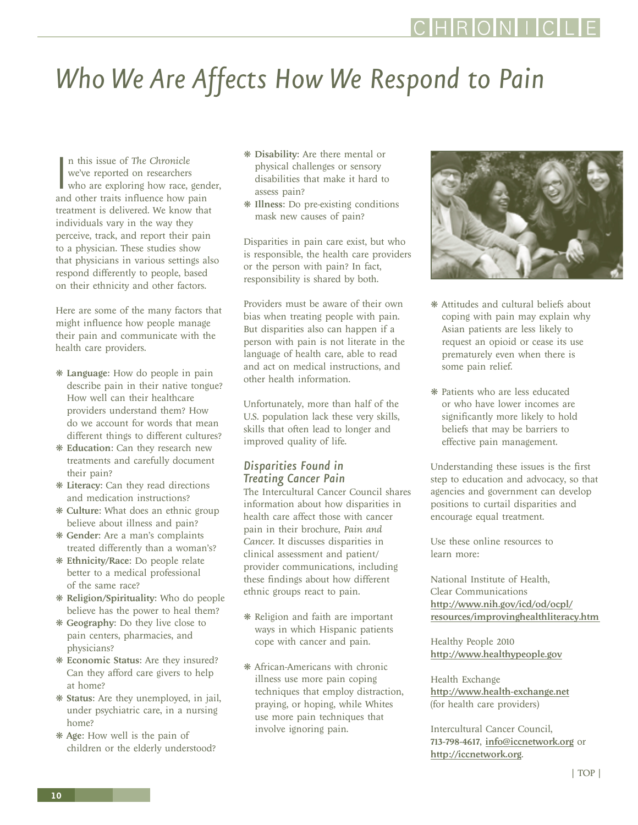#### [| TOP |](#page-0-0)

### RONI

# <span id="page-9-0"></span>*Who We Are Affects How We Respond to Pain*

In this issue of The Chronicle<br>
we've reported on researchers<br>
who are exploring how race, gene<br>
and other traits influence how pain n this issue of *The Chronicle* we've reported on researchers who are exploring how race, gender, treatment is delivered. We know that individuals vary in the way they perceive, track, and report their pain to a physician. These studies show that physicians in various settings also respond differently to people, based on their ethnicity and other factors.

Here are some of the many factors that might influence how people manage their pain and communicate with the health care providers.

- ❋ Language: How do people in pain describe pain in their native tongue? How well can their healthcare providers understand them? How do we account for words that mean different things to different cultures?
- ❋ Education: Can they research new treatments and carefully document their pain?
- ❋ Literacy: Can they read directions and medication instructions?
- ❋ Culture: What does an ethnic group believe about illness and pain?
- ❋ Gender: Are a man's complaints treated differently than a woman's?
- ❋ Ethnicity/Race: Do people relate better to a medical professional of the same race?
- ❋ Religion/Spirituality: Who do people believe has the power to heal them?
- ❋ Geography: Do they live close to pain centers, pharmacies, and physicians?
- ❋ Economic Status: Are they insured? Can they afford care givers to help at home?
- ❋ Status: Are they unemployed, in jail, under psychiatric care, in a nursing home?
- ❋ Age: How well is the pain of children or the elderly understood?
- ❋ Disability: Are there mental or physical challenges or sensory disabilities that make it hard to assess pain?
- ❋ Illness: Do pre-existing conditions mask new causes of pain?

Disparities in pain care exist, but who is responsible, the health care providers or the person with pain? In fact, responsibility is shared by both.

Providers must be aware of their own bias when treating people with pain. But disparities also can happen if a person with pain is not literate in the language of health care, able to read and act on medical instructions, and other health information.

Unfortunately, more than half of the U.S. population lack these very skills, skills that often lead to longer and improved quality of life.

#### *Disparities Found in Treating Cancer Pain*

The Intercultural Cancer Council shares information about how disparities in health care affect those with cancer pain in their brochure, *Pain and Cancer*. It discusses disparities in clinical assessment and patient/ provider communications, including these findings about how different ethnic groups react to pain.

- ❋ Religion and faith are important ways in which Hispanic patients cope with cancer and pain.
- ❋ African-Americans with chronic illness use more pain coping techniques that employ distraction, praying, or hoping, while Whites use more pain techniques that involve ignoring pain.



- ❋ Attitudes and cultural beliefs about coping with pain may explain why Asian patients are less likely to request an opioid or cease its use prematurely even when there is some pain relief.
- ❋ Patients who are less educated or who have lower incomes are significantly more likely to hold beliefs that may be barriers to effective pain management.

Understanding these issues is the first step to education and advocacy, so that agencies and government can develop positions to curtail disparities and encourage equal treatment.

Use these online resources to learn more:

National Institute of Health, Clear Communications http://www.nih.gov/icd/od/ocpl/ [resources/improvinghealthliteracy.htm](http://www.nih.gov/icd/od/ocpl/resources/improvinghealthliteracy.htm) 

Healthy People 2010 <http://www.healthypeople.gov>

Health Exchange <http://www.health-exchange.net> (for health care providers)

Intercultural Cancer Council, 713-798-4617, [info@iccnetwork.org](mailto:info@iccnetwork.org) or <http://iccnetwork.org>.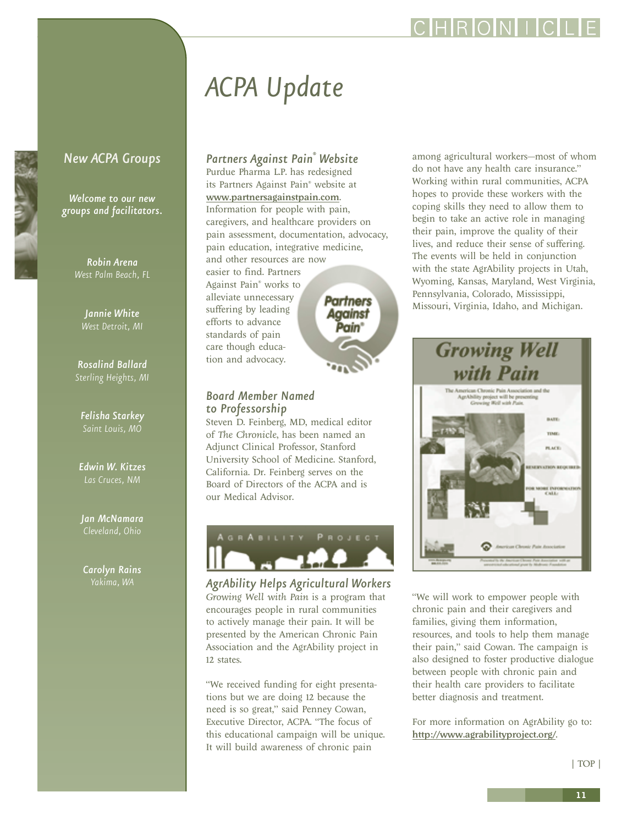# *ACPA Update*

<span id="page-10-0"></span>*New ACPA Groups*

*Welcome to our new groups and facilitators.*

> *Robin Arena West Palm Beach, FL*

*Jannie White*

*Rosalind Ballard Sterling Heights, MI*

*Felisha Starkey Saint Louis, MO* 

*Edwin W. Kitzes*

*Jan McNamara Cleveland, Ohio*

*Carolyn Rains*

#### *Partners Against Pain® Website*

Purdue Pharma L.P. has redesigned its Partners Against Pain® website at <www.partnersagainstpain.com>. Information for people with pain, caregivers, and healthcare providers on pain assessment, documentation, advocacy, pain education, integrative medicine, and other resources are now easier to find. Partners Against Pain® works to alleviate unnecessary **Partners** suffering by leading Against efforts to advance Pain" standards of pain care though education and advocacy.

#### *Board Member Named to Professorship*

A G R A B I L I T Y

Steven D. Feinberg, MD, medical editor of *The Chronicle*, has been named an Adjunct Clinical Professor, Stanford University School of Medicine. Stanford, California. Dr. Feinberg serves on the Board of Directors of the ACPA and is our Medical Advisor.



PROJECT

"We received funding for eight presentations but we are doing 12 because the need is so great," said Penney Cowan, Executive Director, ACPA. "The focus of this educational campaign will be unique. It will build awareness of chronic pain

among agricultural workers—most of whom do not have any health care insurance." Working within rural communities, ACPA hopes to provide these workers with the coping skills they need to allow them to begin to take an active role in managing their pain, improve the quality of their lives, and reduce their sense of suffering. The events will be held in conjunction with the state AgrAbility projects in Utah, Wyoming, Kansas, Maryland, West Virginia, Pennsylvania, Colorado, Mississippi, Missouri, Virginia, Idaho, and Michigan.



"We will work to empower people with chronic pain and their caregivers and families, giving them information, resources, and tools to help them manage their pain," said Cowan. The campaign is also designed to foster productive dialogue between people with chronic pain and their health care providers to facilitate better diagnosis and treatment.

For more information on AgrAbility go to: <http://www.agrabilityproject.org/>.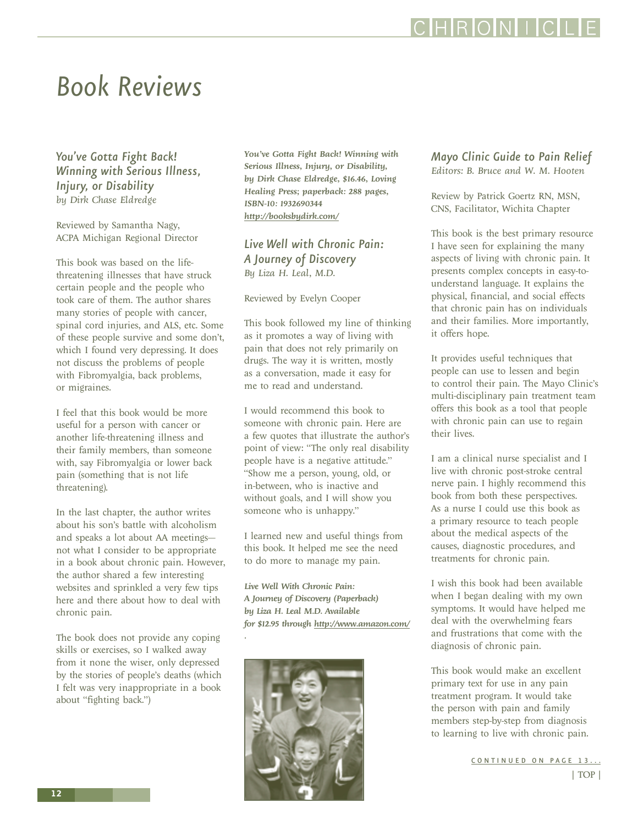## CHRONIC

### <span id="page-11-1"></span><span id="page-11-0"></span>*Book Reviews*

*You've Gotta Fight Back! Winning with Serious Illness, Injury, or Disability by Dirk Chase Eldredge* 

Reviewed by Samantha Nagy, ACPA Michigan Regional Director

This book was based on the lifethreatening illnesses that have struck certain people and the people who took care of them. The author shares many stories of people with cancer, spinal cord injuries, and ALS, etc. Some of these people survive and some don't, which I found very depressing. It does not discuss the problems of people with Fibromyalgia, back problems, or migraines.

I feel that this book would be more useful for a person with cancer or another life-threatening illness and their family members, than someone with, say Fibromyalgia or lower back pain (something that is not life threatening).

In the last chapter, the author writes about his son's battle with alcoholism and speaks a lot about AA meetings not what I consider to be appropriate in a book about chronic pain. However, the author shared a few interesting websites and sprinkled a very few tips here and there about how to deal with chronic pain.

The book does not provide any coping skills or exercises, so I walked away from it none the wiser, only depressed by the stories of people's deaths (which I felt was very inappropriate in a book about "fighting back.")

*You've Gotta Fight Back! Winning with Serious Illness, Injury, or Disability, by Dirk Chase Eldredge, \$16.46, Loving Healing Press; paperback: 288 pages, ISBN-10: 1932690344 <http://booksbydirk.com/>*

*Live Well with Chronic Pain: A Journey of Discovery By Liza H. Leal, M.D.* 

Reviewed by Evelyn Cooper

This book followed my line of thinking as it promotes a way of living with pain that does not rely primarily on drugs. The way it is written, mostly as a conversation, made it easy for me to read and understand.

I would recommend this book to someone with chronic pain. Here are a few quotes that illustrate the author's point of view: "The only real disability people have is a negative attitude." "Show me a person, young, old, or in-between, who is inactive and without goals, and I will show you someone who is unhappy."

I learned new and useful things from this book. It helped me see the need to do more to manage my pain.

*Live Well With Chronic Pain: A Journey of Discovery (Paperback) by Liza H. Leal M.D. Available for \$12.95 through<http://www.amazon.com/>*



*.* 

#### *Mayo Clinic Guide to Pain Relief Editors: B. Bruce and W. M. Hooten*

Review by Patrick Goertz RN, MSN, CNS, Facilitator, Wichita Chapter

This book is the best primary resource I have seen for explaining the many aspects of living with chronic pain. It presents complex concepts in easy-tounderstand language. It explains the physical, financial, and social effects that chronic pain has on individuals and their families. More importantly, it offers hope.

It provides useful techniques that people can use to lessen and begin to control their pain. The Mayo Clinic's multi-disciplinary pain treatment team offers this book as a tool that people with chronic pain can use to regain their lives.

I am a clinical nurse specialist and I live with chronic post-stroke central nerve pain. I highly recommend this book from both these perspectives. As a nurse I could use this book as a primary resource to teach people about the medical aspects of the causes, diagnostic procedures, and treatments for chronic pain.

I wish this book had been available when I began dealing with my own symptoms. It would have helped me deal with the overwhelming fears and frustrations that come with the diagnosis of chronic pain.

This book would make an excellent primary text for use in any pain treatment program. It would take the person with pain and family members step-by-step from diagnosis to learning to live with chronic pain.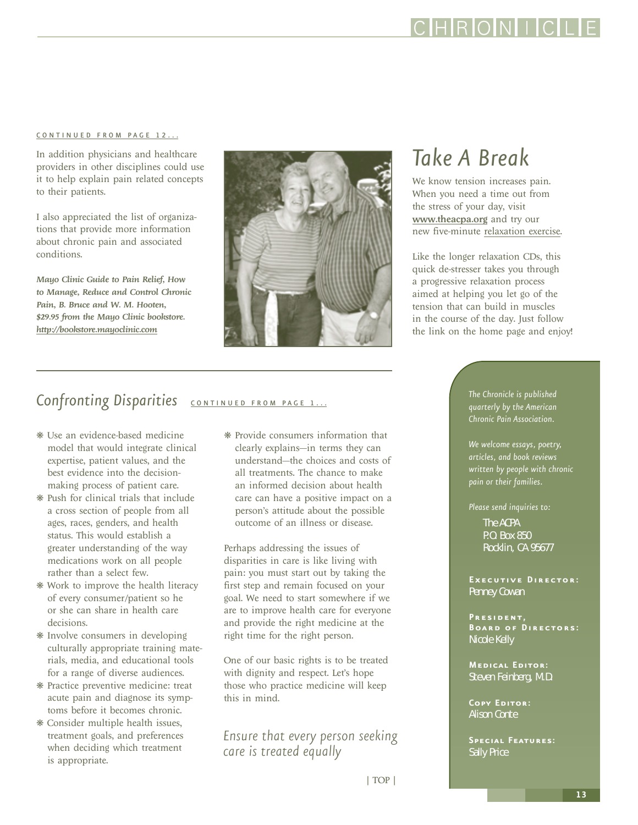IRIOINI I

#### <span id="page-12-0"></span>[CONTINUED FROM PAGE 12...](#page-11-1)

In addition physicians and healthcare providers in other disciplines could use it to help explain pain related concepts to their patients.

I also appreciated the list of organizations that provide more information about chronic pain and associated conditions.

*Mayo Clinic Guide to Pain Relief, How to Manage, Reduce and Control Chronic Pain, B. Bruce and W. M. Hooten, \$29.95 from the Mayo Clinic bookstore. <http://bookstore.mayoclinic.com>*

#### Confronting Disparities **[CONTINUED FROM PAGE 1...](#page-0-1)**

- ❋ Use an evidence-based medicine model that would integrate clinical expertise, patient values, and the best evidence into the decisionmaking process of patient care.
- ❋ Push for clinical trials that include a cross section of people from all ages, races, genders, and health status. This would establish a greater understanding of the way medications work on all people rather than a select few.
- ❋ Work to improve the health literacy of every consumer/patient so he or she can share in health care decisions.
- ❋ Involve consumers in developing culturally appropriate training materials, media, and educational tools for a range of diverse audiences.
- ❋ Practice preventive medicine: treat acute pain and diagnose its symptoms before it becomes chronic.
- ❋ Consider multiple health issues, treatment goals, and preferences when deciding which treatment is appropriate.

❋ Provide consumers information that clearly explains—in terms they can understand—the choices and costs of all treatments. The chance to make an informed decision about health care can have a positive impact on a person's attitude about the possible outcome of an illness or disease.

Perhaps addressing the issues of disparities in care is like living with pain: you must start out by taking the first step and remain focused on your goal. We need to start somewhere if we are to improve health care for everyone and provide the right medicine at the right time for the right person.

One of our basic rights is to be treated with dignity and respect. Let's hope those who practice medicine will keep this in mind.

*Ensure that every person seeking care is treated equally*

### *Take A Break*

We know tension increases pain. When you need a time out from the stress of your day, visit <www.theacpa.org> and try our new five-minute [relaxation exercise.](http://www.theacpa.org/people/videos.asp)

Like the longer relaxation CDs, this quick de-stresser takes you through a progressive relaxation process aimed at helping you let go of the tension that can build in muscles in the course of the day. Just follow the link on the home page and enjoy!

> *The Chronicle is published quarterly by the American Chronic Pain Association.*

*We welcome essays, poetry, articles, and book reviews written by people with chronic pain or their families.*

*Please send inquiries to:*

The ACPA P.O. Box 850 Rocklin, CA 95677

**Executive Director:** Penney Cowan

**President, Board of Directors:** Nicole Kelly

**Medical Editor:** Steven Feinberg, M.D.

**Copy Editor:** Alison Conte

**Special Features:** Sally Price